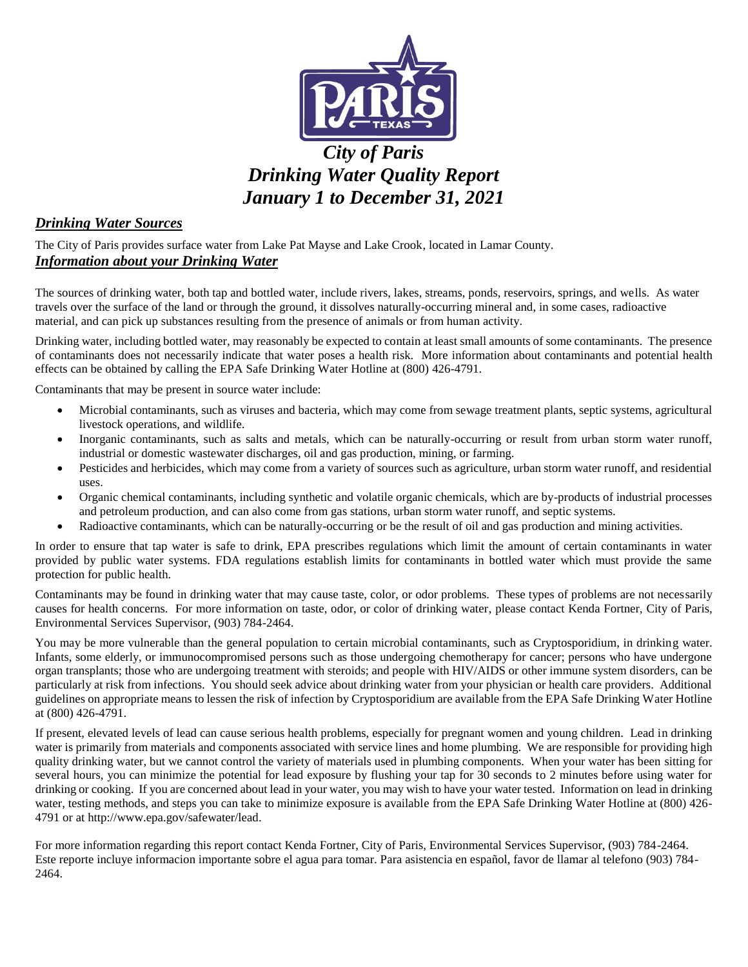

# *City of Paris Drinking Water Quality Report January 1 to December 31, 2021*

# *Drinking Water Sources*

The City of Paris provides surface water from Lake Pat Mayse and Lake Crook, located in Lamar County. *Information about your Drinking Water*

The sources of drinking water, both tap and bottled water, include rivers, lakes, streams, ponds, reservoirs, springs, and wells. As water travels over the surface of the land or through the ground, it dissolves naturally-occurring mineral and, in some cases, radioactive material, and can pick up substances resulting from the presence of animals or from human activity.

Drinking water, including bottled water, may reasonably be expected to contain at least small amounts of some contaminants. The presence of contaminants does not necessarily indicate that water poses a health risk. More information about contaminants and potential health effects can be obtained by calling the EPA Safe Drinking Water Hotline at (800) 426-4791.

Contaminants that may be present in source water include:

- Microbial contaminants, such as viruses and bacteria, which may come from sewage treatment plants, septic systems, agricultural livestock operations, and wildlife.
- Inorganic contaminants, such as salts and metals, which can be naturally-occurring or result from urban storm water runoff, industrial or domestic wastewater discharges, oil and gas production, mining, or farming.
- Pesticides and herbicides, which may come from a variety of sources such as agriculture, urban storm water runoff, and residential uses.
- Organic chemical contaminants, including synthetic and volatile organic chemicals, which are by-products of industrial processes and petroleum production, and can also come from gas stations, urban storm water runoff, and septic systems.
- Radioactive contaminants, which can be naturally-occurring or be the result of oil and gas production and mining activities.

In order to ensure that tap water is safe to drink, EPA prescribes regulations which limit the amount of certain contaminants in water provided by public water systems. FDA regulations establish limits for contaminants in bottled water which must provide the same protection for public health.

Contaminants may be found in drinking water that may cause taste, color, or odor problems. These types of problems are not necessarily causes for health concerns. For more information on taste, odor, or color of drinking water, please contact Kenda Fortner, City of Paris, Environmental Services Supervisor, (903) 784-2464.

You may be more vulnerable than the general population to certain microbial contaminants, such as Cryptosporidium, in drinking water. Infants, some elderly, or immunocompromised persons such as those undergoing chemotherapy for cancer; persons who have undergone organ transplants; those who are undergoing treatment with steroids; and people with HIV/AIDS or other immune system disorders, can be particularly at risk from infections. You should seek advice about drinking water from your physician or health care providers. Additional guidelines on appropriate means to lessen the risk of infection by Cryptosporidium are available from the EPA Safe Drinking Water Hotline at (800) 426-4791.

If present, elevated levels of lead can cause serious health problems, especially for pregnant women and young children. Lead in drinking water is primarily from materials and components associated with service lines and home plumbing. We are responsible for providing high quality drinking water, but we cannot control the variety of materials used in plumbing components. When your water has been sitting for several hours, you can minimize the potential for lead exposure by flushing your tap for 30 seconds to 2 minutes before using water for drinking or cooking. If you are concerned about lead in your water, you may wish to have your water tested. Information on lead in drinking water, testing methods, and steps you can take to minimize exposure is available from the EPA Safe Drinking Water Hotline at (800) 426- 4791 or at http://www.epa.gov/safewater/lead.

For more information regarding this report contact Kenda Fortner, City of Paris, Environmental Services Supervisor, (903) 784-2464. Este reporte incluye informacion importante sobre el agua para tomar. Para asistencia en español, favor de llamar al telefono (903) 784- 2464.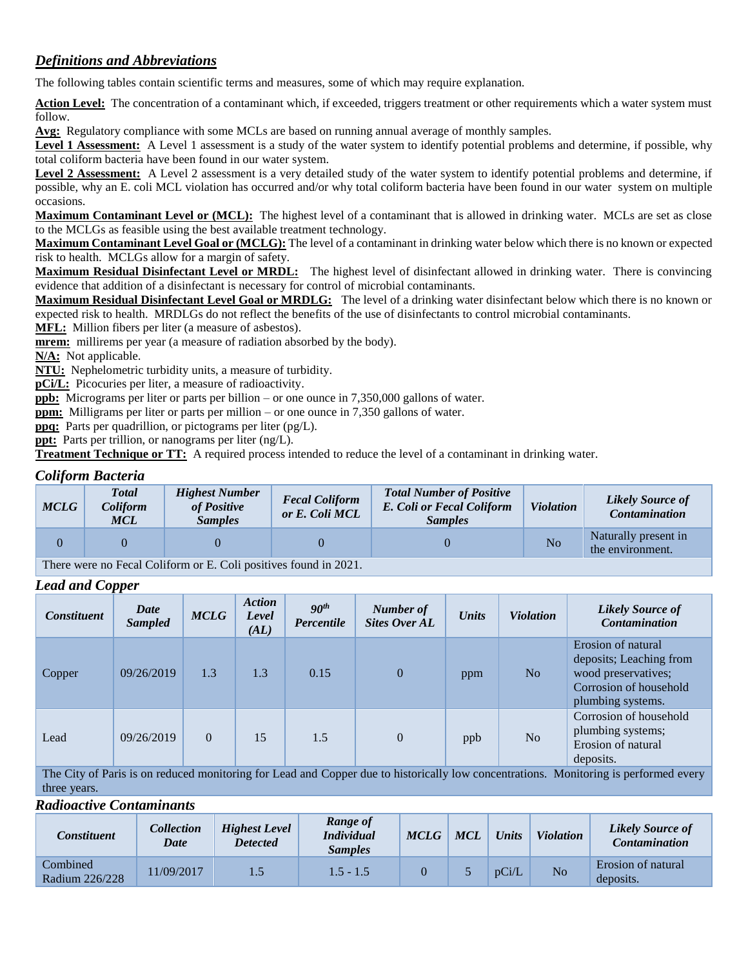# *Definitions and Abbreviations*

The following tables contain scientific terms and measures, some of which may require explanation.

Action Level: The concentration of a contaminant which, if exceeded, triggers treatment or other requirements which a water system must follow.

**Avg:** Regulatory compliance with some MCLs are based on running annual average of monthly samples.

Level 1 Assessment: A Level 1 assessment is a study of the water system to identify potential problems and determine, if possible, why total coliform bacteria have been found in our water system.

Level 2 Assessment: A Level 2 assessment is a very detailed study of the water system to identify potential problems and determine, if possible, why an E. coli MCL violation has occurred and/or why total coliform bacteria have been found in our water system on multiple occasions.

**Maximum Contaminant Level or (MCL):** The highest level of a contaminant that is allowed in drinking water. MCLs are set as close to the MCLGs as feasible using the best available treatment technology.

**Maximum Contaminant Level Goal or (MCLG):** The level of a contaminant in drinking water below which there is no known or expected risk to health. MCLGs allow for a margin of safety.

**Maximum Residual Disinfectant Level or MRDL:** The highest level of disinfectant allowed in drinking water. There is convincing evidence that addition of a disinfectant is necessary for control of microbial contaminants.

**Maximum Residual Disinfectant Level Goal or MRDLG:** The level of a drinking water disinfectant below which there is no known or expected risk to health. MRDLGs do not reflect the benefits of the use of disinfectants to control microbial contaminants.

**MFL:** Million fibers per liter (a measure of asbestos).

**mrem:** millirems per year (a measure of radiation absorbed by the body).

**N/A:** Not applicable.

**NTU:** Nephelometric turbidity units, a measure of turbidity.

**pCi/L:** Picocuries per liter, a measure of radioactivity.

**ppb:** Micrograms per liter or parts per billion – or one ounce in 7,350,000 gallons of water.

**ppm:** Milligrams per liter or parts per million – or one ounce in 7,350 gallons of water.

**ppq:** Parts per quadrillion, or pictograms per liter (pg/L).

**ppt:** Parts per trillion, or nanograms per liter (ng/L).

**Treatment Technique or TT:** A required process intended to reduce the level of a contaminant in drinking water.

## *Coliform Bacteria*

| <b>MCLG</b> | <b>T</b> otal<br>Coliform<br><b>MCL</b>                                                                                                                                                                                                                                                                                            | <b>Highest Number</b><br>of Positive<br><b>Samples</b> | <b>Fecal Coliform</b><br>or E. Coli MCL | <b>Total Number of Positive</b><br>E. Coli or Fecal Coliform<br><b>Samples</b> | <b>Violation</b> | <b>Likely Source of</b><br><b>Contamination</b> |  |  |  |
|-------------|------------------------------------------------------------------------------------------------------------------------------------------------------------------------------------------------------------------------------------------------------------------------------------------------------------------------------------|--------------------------------------------------------|-----------------------------------------|--------------------------------------------------------------------------------|------------------|-------------------------------------------------|--|--|--|
|             |                                                                                                                                                                                                                                                                                                                                    |                                                        |                                         |                                                                                | No               | Naturally present in<br>the environment.        |  |  |  |
|             | $\mathbf{m}$ $\mathbf{r}$ $\mathbf{r}$ $\mathbf{r}$ $\mathbf{r}$ $\mathbf{r}$ $\mathbf{r}$ $\mathbf{r}$ $\mathbf{r}$ $\mathbf{r}$ $\mathbf{r}$ $\mathbf{r}$ $\mathbf{r}$ $\mathbf{r}$ $\mathbf{r}$ $\mathbf{r}$ $\mathbf{r}$ $\mathbf{r}$ $\mathbf{r}$ $\mathbf{r}$ $\mathbf{r}$ $\mathbf{r}$ $\mathbf{r}$ $\mathbf{r}$ $\mathbf{$ |                                                        |                                         |                                                                                |                  |                                                 |  |  |  |

There were no Fecal Coliform or E. Coli positives found in 2021.

#### *Lead and Copper*

| <b>Constituent</b> | Date<br><b>Sampled</b> | <b>MCLG</b> | <b>Action</b><br>Level<br>(AL) | 90 <sup>th</sup><br>Percentile | Number of<br><b>Sites Over AL</b> | <b>Units</b> | <b>Violation</b> | <b>Likely Source of</b><br><b>Contamination</b>                                                                     |
|--------------------|------------------------|-------------|--------------------------------|--------------------------------|-----------------------------------|--------------|------------------|---------------------------------------------------------------------------------------------------------------------|
| Copper             | 09/26/2019             | 1.3         | 1.3                            | 0.15                           | $\overline{0}$                    | ppm          | N <sub>o</sub>   | Erosion of natural<br>deposits; Leaching from<br>wood preservatives;<br>Corrosion of household<br>plumbing systems. |
| Lead               | 09/26/2019             | $\Omega$    | 15                             | 1.5                            | $\theta$                          | ppb          | N <sub>o</sub>   | Corrosion of household<br>plumbing systems;<br>Erosion of natural<br>deposits.                                      |

The City of Paris is on reduced monitoring for Lead and Copper due to historically low concentrations. Monitoring is performed every three years.

#### *Radioactive Contaminants*

| Constituent                | Collection <sup>'</sup><br>Date | <b>Highest Level</b><br><b>Detected</b> | Range of<br><i>Individual</i><br><b>Samples</b> | <b>MCLG</b> | <b>MCL</b> | <b>Units</b> | <b>Violation</b> | <b>Likely Source of</b><br><b>Contamination</b> |
|----------------------------|---------------------------------|-----------------------------------------|-------------------------------------------------|-------------|------------|--------------|------------------|-------------------------------------------------|
| Combined<br>Radium 226/228 | 1/09/2017                       |                                         | $1.5 - 1.5$                                     |             |            | pCi/L        | No               | Erosion of natural<br>deposits.                 |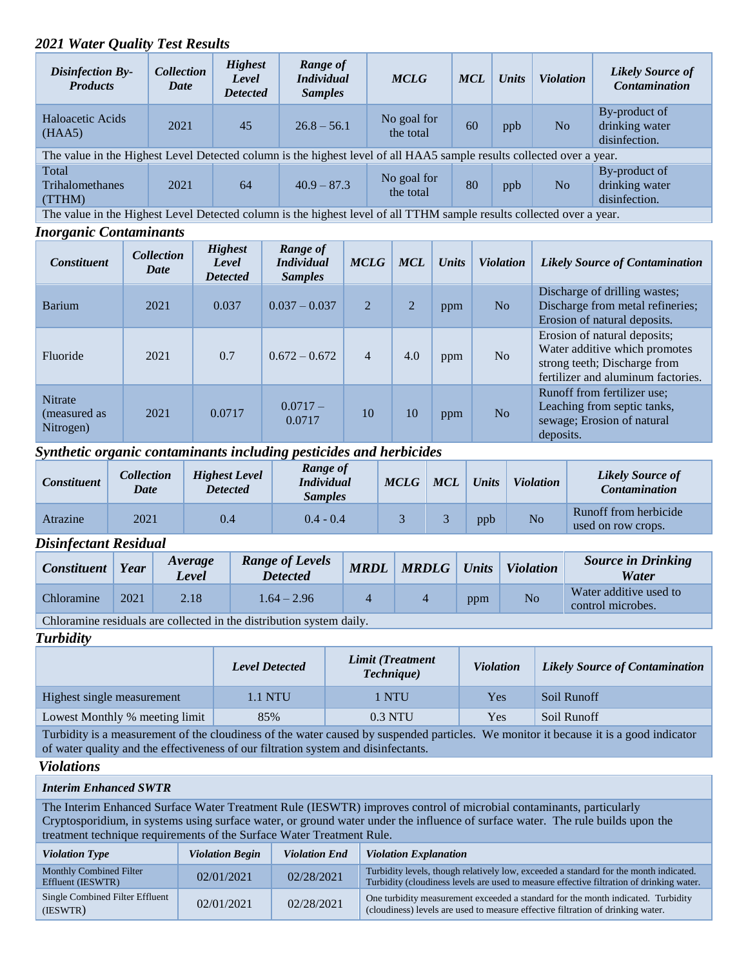# *2021 Water Quality Test Results*

| <b>Disinfection By-</b><br><b>Products</b>                                                                            | <b>Collection</b><br><b>Date</b>                                                                                      | <b>Highest</b><br>Level<br><b>Detected</b> | Range of<br><i>Individual</i><br><b>Samples</b> | <b>MCLG</b>              | <b>MCL</b> | <b>Units</b> | <b>Violation</b> | <b>Likely Source of</b><br>Contamination         |
|-----------------------------------------------------------------------------------------------------------------------|-----------------------------------------------------------------------------------------------------------------------|--------------------------------------------|-------------------------------------------------|--------------------------|------------|--------------|------------------|--------------------------------------------------|
| Haloacetic Acids<br>(HAA5)                                                                                            | 2021                                                                                                                  | 45                                         | $26.8 - 56.1$                                   | No goal for<br>the total | 60         | ppb          | N <sub>o</sub>   | By-product of<br>drinking water<br>disinfection. |
| The value in the Highest Level Detected column is the highest level of all HAA5 sample results collected over a year. |                                                                                                                       |                                            |                                                 |                          |            |              |                  |                                                  |
| Total<br><b>Trihalomethanes</b><br>(TTHM)                                                                             | 2021                                                                                                                  | 64                                         | $40.9 - 87.3$                                   | No goal for<br>the total | 80         | ppb          | N <sub>o</sub>   | By-product of<br>drinking water<br>disinfection. |
|                                                                                                                       | The value in the Highest Level Detected column is the highest level of all TTHM sample results collected over a year. |                                            |                                                 |                          |            |              |                  |                                                  |

#### *Inorganic Contaminants*

| <b>Constituent</b>                          | <b>Collection</b><br>Date | <b>Highest</b><br>Level<br><b>Detected</b> | Range of<br><b>Individual</b><br><b>Samples</b> | <b>MCLG</b>    | <b>MCL</b>     | Units | <b>Violation</b> | <b>Likely Source of Contamination</b>                                                                                               |
|---------------------------------------------|---------------------------|--------------------------------------------|-------------------------------------------------|----------------|----------------|-------|------------------|-------------------------------------------------------------------------------------------------------------------------------------|
| <b>Barium</b>                               | 2021                      | 0.037                                      | $0.037 - 0.037$                                 | 2              | $\overline{2}$ | ppm   | N <sub>o</sub>   | Discharge of drilling wastes;<br>Discharge from metal refineries;<br>Erosion of natural deposits.                                   |
| Fluoride                                    | 2021                      | 0.7                                        | $0.672 - 0.672$                                 | $\overline{4}$ | 4.0            | ppm   | No               | Erosion of natural deposits;<br>Water additive which promotes<br>strong teeth; Discharge from<br>fertilizer and aluminum factories. |
| <b>Nitrate</b><br>(measured as<br>Nitrogen) | 2021                      | 0.0717                                     | $0.0717 -$<br>0.0717                            | 10             | 10             | ppm   | No               | Runoff from fertilizer use;<br>Leaching from septic tanks,<br>sewage; Erosion of natural<br>deposits.                               |

## *Synthetic organic contaminants including pesticides and herbicides*

| Constituent | <i><b>Collection</b></i><br><b>Date</b> | <b>Highest Level</b><br><b>Detected</b> | Range of<br><i>Individual</i><br><i>Samples</i> | <b>MCLG</b> | <b>MCL</b> | <b>Units</b> | <b>Violation</b> | <b>Likely Source of</b><br><b>Contamination</b> |
|-------------|-----------------------------------------|-----------------------------------------|-------------------------------------------------|-------------|------------|--------------|------------------|-------------------------------------------------|
| Atrazine    | 2021                                    | 0.4                                     | $0.4 - 0.4$                                     |             |            | ppb          | N <sub>o</sub>   | Runoff from herbicide<br>used on row crops.     |

#### *Disinfectant Residual*

| <b>Constituent</b> | Year | <i>Average</i><br>Level | <b>Range of Levels</b><br><b>Detected</b>                                       | <b>MRDL</b> | <b>MRDLG</b> | Units | <b>Violation</b> | <b>Source in Drinking</b><br>Water          |
|--------------------|------|-------------------------|---------------------------------------------------------------------------------|-------------|--------------|-------|------------------|---------------------------------------------|
| Chloramine         | 2021 | 2.18                    | $1.64 - 2.96$                                                                   |             |              | ppm   | No               | Water additive used to<br>control microbes. |
| $\sim$ $\sim$      |      |                         | $\mathbf{A} \mathbf{A}$ , and a set of $\mathbf{A}$ , and a set of $\mathbf{A}$ |             |              |       |                  |                                             |

Chloramine residuals are collected in the distribution system daily.

*Turbidity*

|                                | <b>Level Detected</b> | Limit (Treatment<br><b>Technique</b> ) | <b>Violation</b> | Likely Source of Contamination |
|--------------------------------|-----------------------|----------------------------------------|------------------|--------------------------------|
| Highest single measurement     | 1.1 NTU               | I NTU                                  | Yes              | Soil Runoff                    |
| Lowest Monthly % meeting limit | 85%                   | $0.3$ NTU                              | Yes              | Soil Runoff                    |

Turbidity is a measurement of the cloudiness of the water caused by suspended particles. We monitor it because it is a good indicator of water quality and the effectiveness of our filtration system and disinfectants.

# *Violations*

#### *Interim Enhanced SWTR*

The Interim Enhanced Surface Water Treatment Rule (IESWTR) improves control of microbial contaminants, particularly Cryptosporidium, in systems using surface water, or ground water under the influence of surface water. The rule builds upon the treatment technique requirements of the Surface Water Treatment Rule.

| <b>Violation Type</b>                               | <b>Violation Begin</b> | <b>Violation End</b> | <b>Violation Explanation</b>                                                                                                                                                      |
|-----------------------------------------------------|------------------------|----------------------|-----------------------------------------------------------------------------------------------------------------------------------------------------------------------------------|
| <b>Monthly Combined Filter</b><br>Effluent (IESWTR) | 02/01/2021             | 02/28/2021           | Turbidity levels, though relatively low, exceeded a standard for the month indicated.<br>Turbidity (cloudiness levels are used to measure effective filtration of drinking water. |
| Single Combined Filter Effluent<br>(IESWTR)         | 02/01/2021             | 02/28/2021           | One turbidity measurement exceeded a standard for the month indicated. Turbidity<br>(cloudiness) levels are used to measure effective filtration of drinking water.               |